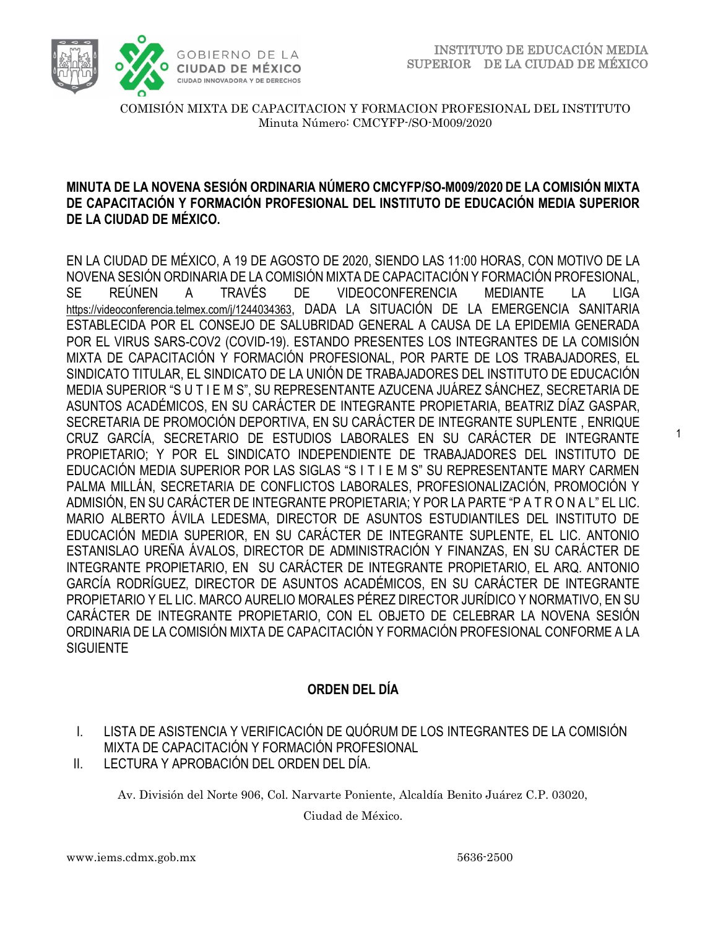

1

COMISIÓN MIXTA DE CAPACITACION Y FORMACION PROFESIONAL DEL INSTITUTO Minuta Número: CMCYFP-/SO-M009/2020

## **MINUTA DE LA NOVENA SESIÓN ORDINARIA NÚMERO CMCYFP/SO-M009/2020 DE LA COMISIÓN MIXTA DE CAPACITACIÓN Y FORMACIÓN PROFESIONAL DEL INSTITUTO DE EDUCACIÓN MEDIA SUPERIOR DE LA CIUDAD DE MÉXICO.**

EN LA CIUDAD DE MÉXICO, A 19 DE AGOSTO DE 2020, SIENDO LAS 11:00 HORAS, CON MOTIVO DE LA NOVENA SESIÓN ORDINARIA DE LA COMISIÓN MIXTA DE CAPACITACIÓN Y FORMACIÓN PROFESIONAL, SE REÚNEN A TRAVÉS DE VIDEOCONFERENCIA MEDIANTE LA LIGA <https://videoconferencia.telmex.com/j/1244034363>, DADA LA SITUACIÓN DE LA EMERGENCIA SANITARIA ESTABLECIDA POR EL CONSEJO DE SALUBRIDAD GENERAL A CAUSA DE LA EPIDEMIA GENERADA POR EL VIRUS SARS-COV2 (COVID-19). ESTANDO PRESENTES LOS INTEGRANTES DE LA COMISIÓN MIXTA DE CAPACITACIÓN Y FORMACIÓN PROFESIONAL, POR PARTE DE LOS TRABAJADORES, EL SINDICATO TITULAR, EL SINDICATO DE LA UNIÓN DE TRABAJADORES DEL INSTITUTO DE EDUCACIÓN MEDIA SUPERIOR "S U T I E M S", SU REPRESENTANTE AZUCENA JUÁREZ SÁNCHEZ, SECRETARIA DE ASUNTOS ACADÉMICOS, EN SU CARÁCTER DE INTEGRANTE PROPIETARIA, BEATRIZ DÍAZ GASPAR, SECRETARIA DE PROMOCIÓN DEPORTIVA, EN SU CARÁCTER DE INTEGRANTE SUPLENTE , ENRIQUE CRUZ GARCÍA, SECRETARIO DE ESTUDIOS LABORALES EN SU CARÁCTER DE INTEGRANTE PROPIETARIO; Y POR EL SINDICATO INDEPENDIENTE DE TRABAJADORES DEL INSTITUTO DE EDUCACIÓN MEDIA SUPERIOR POR LAS SIGLAS "S I T I E M S" SU REPRESENTANTE MARY CARMEN PALMA MILLÁN, SECRETARIA DE CONFLICTOS LABORALES, PROFESIONALIZACIÓN, PROMOCIÓN Y ADMISIÓN, EN SU CARÁCTER DE INTEGRANTE PROPIETARIA; Y POR LA PARTE "P A T R O N A L" EL LIC. MARIO ALBERTO ÁVILA LEDESMA, DIRECTOR DE ASUNTOS ESTUDIANTILES DEL INSTITUTO DE EDUCACIÓN MEDIA SUPERIOR, EN SU CARÁCTER DE INTEGRANTE SUPLENTE, EL LIC. ANTONIO ESTANISLAO UREÑA ÁVALOS, DIRECTOR DE ADMINISTRACIÓN Y FINANZAS, EN SU CARÁCTER DE INTEGRANTE PROPIETARIO, EN SU CARÁCTER DE INTEGRANTE PROPIETARIO, EL ARQ. ANTONIO GARCÍA RODRÍGUEZ, DIRECTOR DE ASUNTOS ACADÉMICOS, EN SU CARÁCTER DE INTEGRANTE PROPIETARIO Y EL LIC. MARCO AURELIO MORALES PÉREZ DIRECTOR JURÍDICO Y NORMATIVO, EN SU CARÁCTER DE INTEGRANTE PROPIETARIO, CON EL OBJETO DE CELEBRAR LA NOVENA SESIÓN ORDINARIA DE LA COMISIÓN MIXTA DE CAPACITACIÓN Y FORMACIÓN PROFESIONAL CONFORME A LA **SIGUIENTE** 

# **ORDEN DEL DÍA**

- I. LISTA DE ASISTENCIA Y VERIFICACIÓN DE QUÓRUM DE LOS INTEGRANTES DE LA COMISIÓN MIXTA DE CAPACITACIÓN Y FORMACIÓN PROFESIONAL
- II. LECTURA Y APROBACIÓN DEL ORDEN DEL DÍA.

Av. División del Norte 906, Col. Narvarte Poniente, Alcaldía Benito Juárez C.P. 03020,

Ciudad de México.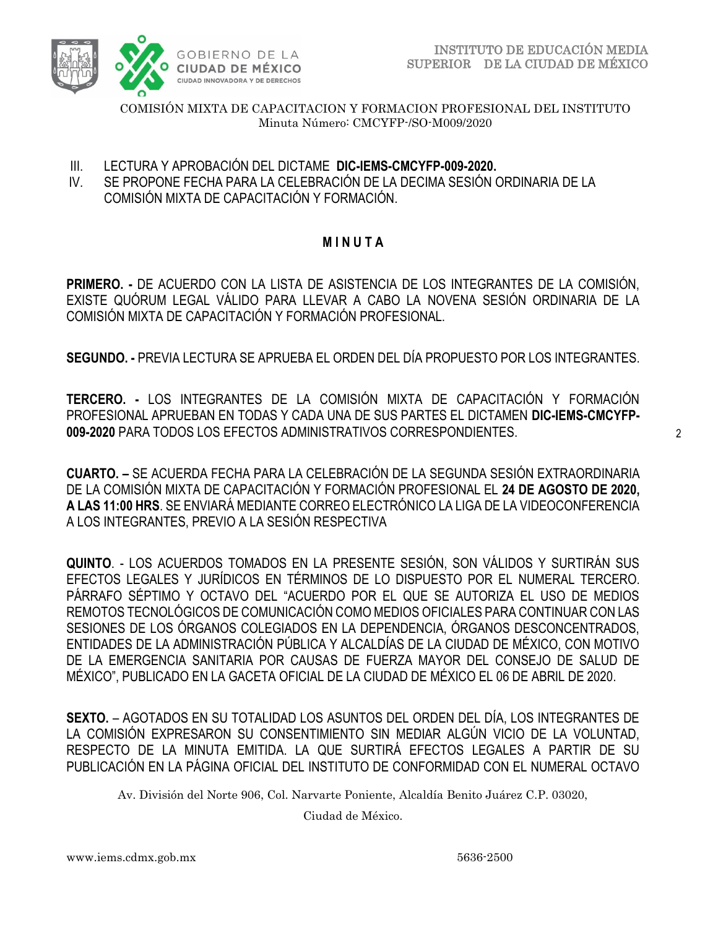

COMISIÓN MIXTA DE CAPACITACION Y FORMACION PROFESIONAL DEL INSTITUTO Minuta Número: CMCYFP-/SO-M009/2020

- III. LECTURA Y APROBACIÓN DEL DICTAME **DIC-IEMS-CMCYFP-009-2020.**
- IV. SE PROPONE FECHA PARA LA CELEBRACIÓN DE LA DECIMA SESIÓN ORDINARIA DE LA COMISIÓN MIXTA DE CAPACITACIÓN Y FORMACIÓN.

# **M I N U T A**

**PRIMERO. -** DE ACUERDO CON LA LISTA DE ASISTENCIA DE LOS INTEGRANTES DE LA COMISIÓN, EXISTE QUÓRUM LEGAL VÁLIDO PARA LLEVAR A CABO LA NOVENA SESIÓN ORDINARIA DE LA COMISIÓN MIXTA DE CAPACITACIÓN Y FORMACIÓN PROFESIONAL.

**SEGUNDO. -** PREVIA LECTURA SE APRUEBA EL ORDEN DEL DÍA PROPUESTO POR LOS INTEGRANTES.

**TERCERO. -** LOS INTEGRANTES DE LA COMISIÓN MIXTA DE CAPACITACIÓN Y FORMACIÓN PROFESIONAL APRUEBAN EN TODAS Y CADA UNA DE SUS PARTES EL DICTAMEN **DIC-IEMS-CMCYFP-009-2020** PARA TODOS LOS EFECTOS ADMINISTRATIVOS CORRESPONDIENTES.

**CUARTO. –** SE ACUERDA FECHA PARA LA CELEBRACIÓN DE LA SEGUNDA SESIÓN EXTRAORDINARIA DE LA COMISIÓN MIXTA DE CAPACITACIÓN Y FORMACIÓN PROFESIONAL EL **24 DE AGOSTO DE 2020, A LAS 11:00 HRS**. SE ENVIARÁ MEDIANTE CORREO ELECTRÓNICO LA LIGA DE LA VIDEOCONFERENCIA A LOS INTEGRANTES, PREVIO A LA SESIÓN RESPECTIVA

**QUINTO**. - LOS ACUERDOS TOMADOS EN LA PRESENTE SESIÓN, SON VÁLIDOS Y SURTIRÁN SUS EFECTOS LEGALES Y JURÍDICOS EN TÉRMINOS DE LO DISPUESTO POR EL NUMERAL TERCERO. PÁRRAFO SÉPTIMO Y OCTAVO DEL "ACUERDO POR EL QUE SE AUTORIZA EL USO DE MEDIOS REMOTOS TECNOLÓGICOS DE COMUNICACIÓN COMO MEDIOS OFICIALES PARA CONTINUAR CON LAS SESIONES DE LOS ÓRGANOS COLEGIADOS EN LA DEPENDENCIA, ÓRGANOS DESCONCENTRADOS, ENTIDADES DE LA ADMINISTRACIÓN PÚBLICA Y ALCALDÍAS DE LA CIUDAD DE MÉXICO, CON MOTIVO DE LA EMERGENCIA SANITARIA POR CAUSAS DE FUERZA MAYOR DEL CONSEJO DE SALUD DE MÉXICO", PUBLICADO EN LA GACETA OFICIAL DE LA CIUDAD DE MÉXICO EL 06 DE ABRIL DE 2020.

**SEXTO.** – AGOTADOS EN SU TOTALIDAD LOS ASUNTOS DEL ORDEN DEL DÍA, LOS INTEGRANTES DE LA COMISIÓN EXPRESARON SU CONSENTIMIENTO SIN MEDIAR ALGÚN VICIO DE LA VOLUNTAD, RESPECTO DE LA MINUTA EMITIDA. LA QUE SURTIRÁ EFECTOS LEGALES A PARTIR DE SU PUBLICACIÓN EN LA PÁGINA OFICIAL DEL INSTITUTO DE CONFORMIDAD CON EL NUMERAL OCTAVO

Av. División del Norte 906, Col. Narvarte Poniente, Alcaldía Benito Juárez C.P. 03020,

Ciudad de México.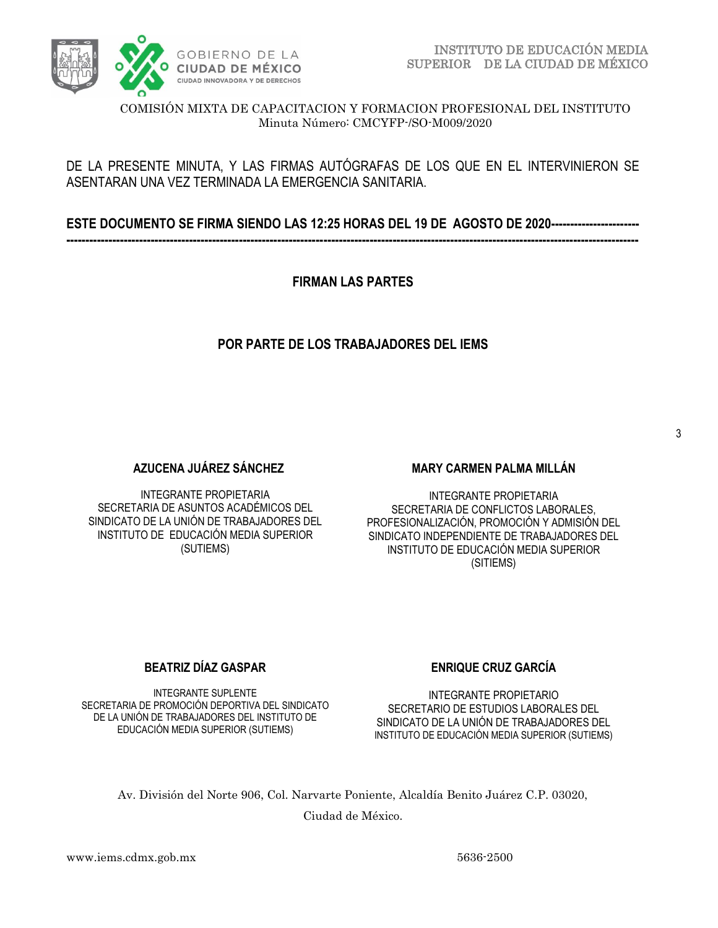

COMISIÓN MIXTA DE CAPACITACION Y FORMACION PROFESIONAL DEL INSTITUTO Minuta Número: CMCYFP-/SO-M009/2020

## DE LA PRESENTE MINUTA, Y LAS FIRMAS AUTÓGRAFAS DE LOS QUE EN EL INTERVINIERON SE ASENTARAN UNA VEZ TERMINADA LA EMERGENCIA SANITARIA.

**ESTE DOCUMENTO SE FIRMA SIENDO LAS 12:25 HORAS DEL 19 DE AGOSTO DE 2020----------------------- -----------------------------------------------------------------------------------------------------------------------------------------------------**

**FIRMAN LAS PARTES**

## **POR PARTE DE LOS TRABAJADORES DEL IEMS**

**AZUCENA JUÁREZ SÁNCHEZ**

INTEGRANTE PROPIETARIA SECRETARIA DE ASUNTOS ACADÉMICOS DEL SINDICATO DE LA UNIÓN DE TRABAJADORES DEL INSTITUTO DE EDUCACIÓN MEDIA SUPERIOR (SUTIEMS)

#### **MARY CARMEN PALMA MILLÁN**

INTEGRANTE PROPIETARIA SECRETARIA DE CONFLICTOS LABORALES, PROFESIONALIZACIÓN, PROMOCIÓN Y ADMISIÓN DEL SINDICATO INDEPENDIENTE DE TRABAJADORES DEL INSTITUTO DE EDUCACIÓN MEDIA SUPERIOR (SITIEMS)

### **BEATRIZ DÍAZ GASPAR**

INTEGRANTE SUPLENTE SECRETARIA DE PROMOCIÓN DEPORTIVA DEL SINDICATO DE LA UNIÓN DE TRABAJADORES DEL INSTITUTO DE EDUCACIÓN MEDIA SUPERIOR (SUTIEMS)

### **ENRIQUE CRUZ GARCÍA**

INTEGRANTE PROPIETARIO SECRETARIO DE ESTUDIOS LABORALES DEL SINDICATO DE LA UNIÓN DE TRABAJADORES DEL INSTITUTO DE EDUCACIÓN MEDIA SUPERIOR (SUTIEMS)

Av. División del Norte 906, Col. Narvarte Poniente, Alcaldía Benito Juárez C.P. 03020,

Ciudad de México.